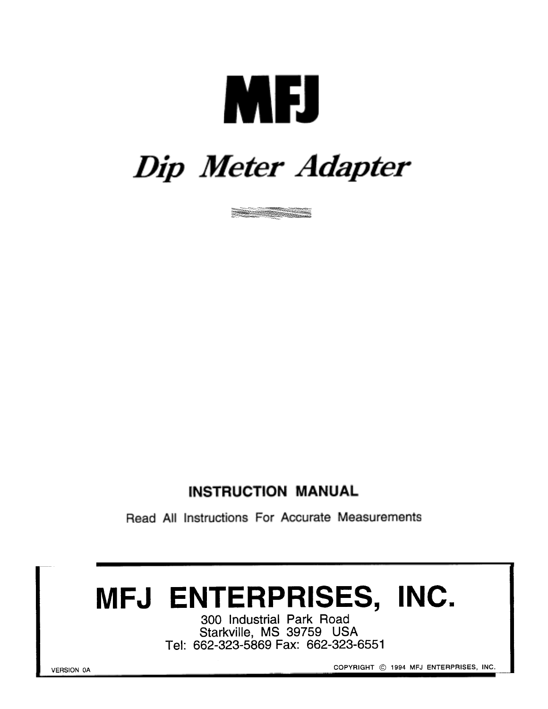# **MEJ**

## Dip Meter Adapter



#### **INSTRUCTION MANUAL**

Read All Instructions For Accurate Measurements

### MFJ ENTERPRISES, INC.

300 Industrial Park Road Starkville, MS 39759 USA Tel: 662-323-5869 Fax: 662-323-6551

COPYRIGHT © 1994 MFJ ENTERPRISES, INC.

**VERSION 0A**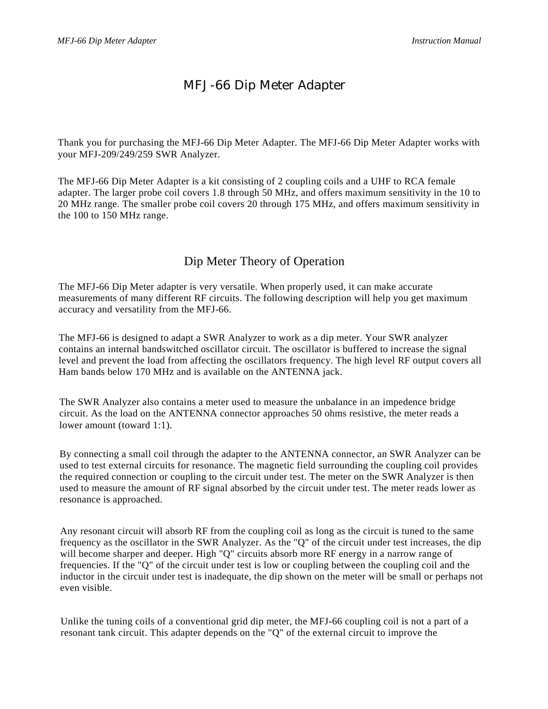#### MFJ-66 Dip Meter Adapter

Thank you for purchasing the MFJ-66 Dip Meter Adapter. The MFJ-66 Dip Meter Adapter works with your MFJ-209/249/259 SWR Analyzer.

The MFJ-66 Dip Meter Adapter is a kit consisting of 2 coupling coils and a UHF to RCA female adapter. The larger probe coil covers 1.8 through 50 MHz, and offers maximum sensitivity in the 10 to 20 MHz range. The smaller probe coil covers 20 through 175 MHz, and offers maximum sensitivity in the 100 to 150 MHz range.

#### Dip Meter Theory of Operation

The MFJ-66 Dip Meter adapter is very versatile. When properly used, it can make accurate measurements of many different RF circuits. The following description will help you get maximum accuracy and versatility from the MFJ-66.

The MFJ-66 is designed to adapt a SWR Analyzer to work as a dip meter. Your SWR analyzer contains an internal bandswitched oscillator circuit. The oscillator is buffered to increase the signal level and prevent the load from affecting the oscillators frequency. The high level RF output covers all Ham bands below 170 MHz and is available on the ANTENNA jack.

The SWR Analyzer also contains a meter used to measure the unbalance in an impedence bridge circuit. As the load on the ANTENNA connector approaches 50 ohms resistive, the meter reads a lower amount (toward 1:1).

By connecting a small coil through the adapter to the ANTENNA connector, an SWR Analyzer can be used to test external circuits for resonance. The magnetic field surrounding the coupling coil provides the required connection or coupling to the circuit under test. The meter on the SWR Analyzer is then used to measure the amount of RF signal absorbed by the circuit under test. The meter reads lower as resonance is approached.

Any resonant circuit will absorb RF from the coupling coil as long as the circuit is tuned to the same frequency as the oscillator in the SWR Analyzer. As the "Q" of the circuit under test increases, the dip will become sharper and deeper. High "Q" circuits absorb more RF energy in a narrow range of frequencies. If the "Q" of the circuit under test is low or coupling between the coupling coil and the inductor in the circuit under test is inadequate, the dip shown on the meter will be small or perhaps not even visible.

Unlike the tuning coils of a conventional grid dip meter, the MFJ-66 coupling coil is not a part of a resonant tank circuit. This adapter depends on the "Q" of the external circuit to improve the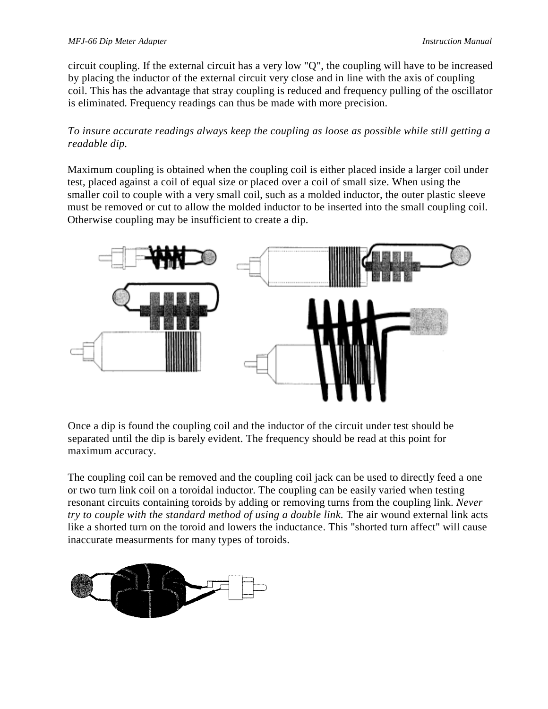circuit coupling. If the external circuit has a very low "Q", the coupling will have to be increased by placing the inductor of the external circuit very close and in line with the axis of coupling coil. This has the advantage that stray coupling is reduced and frequency pulling of the oscillator is eliminated. Frequency readings can thus be made with more precision.

*To insure accurate readings always keep the coupling as loose as possible while still getting a readable dip.*

Maximum coupling is obtained when the coupling coil is either placed inside a larger coil under test, placed against a coil of equal size or placed over a coil of small size. When using the smaller coil to couple with a very small coil, such as a molded inductor, the outer plastic sleeve must be removed or cut to allow the molded inductor to be inserted into the small coupling coil. Otherwise coupling may be insufficient to create a dip.



Once a dip is found the coupling coil and the inductor of the circuit under test should be separated until the dip is barely evident. The frequency should be read at this point for maximum accuracy.

The coupling coil can be removed and the coupling coil jack can be used to directly feed a one or two turn link coil on a toroidal inductor. The coupling can be easily varied when testing resonant circuits containing toroids by adding or removing turns from the coupling link. *Never try to couple with the standard method of using a double link.* The air wound external link acts like a shorted turn on the toroid and lowers the inductance. This "shorted turn affect" will cause inaccurate measurments for many types of toroids.

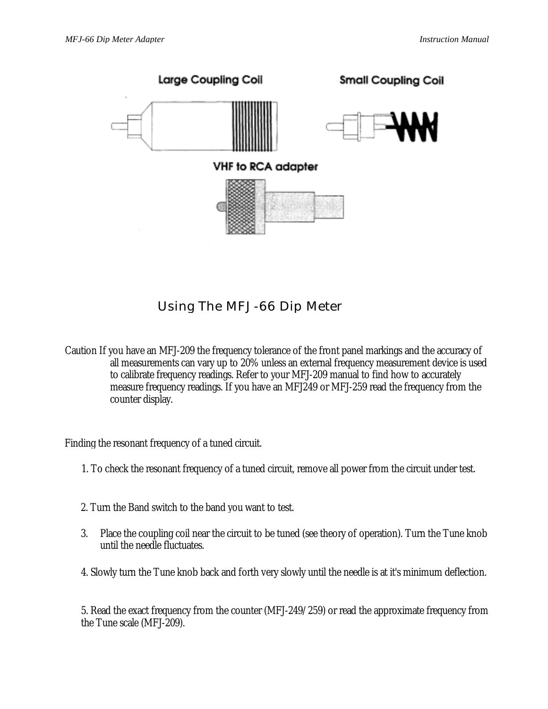

Using The MFJ-66 Dip Meter

Caution If you have an MFJ-209 the frequency tolerance of the front panel markings and the accuracy of all measurements can vary up to 20% unless an external frequency measurement device is used to calibrate frequency readings. Refer to your MFJ-209 manual to find how to accurately measure frequency readings. If you have an MFJ249 or MFJ-259 read the frequency from the counter display.

Finding the resonant frequency of a tuned circuit.

- 1. To check the resonant frequency of a tuned circuit, remove all power from the circuit under test.
- 2. Turn the Band switch to the band you want to test.
- 3. Place the coupling coil near the circuit to be tuned (see theory of operation). Turn the Tune knob until the needle fluctuates.
- 4. Slowly turn the Tune knob back and forth very slowly until the needle is at it's minimum deflection.

5. Read the exact frequency from the counter (MFJ-249/259) or read the approximate frequency from the Tune scale (MFJ-209).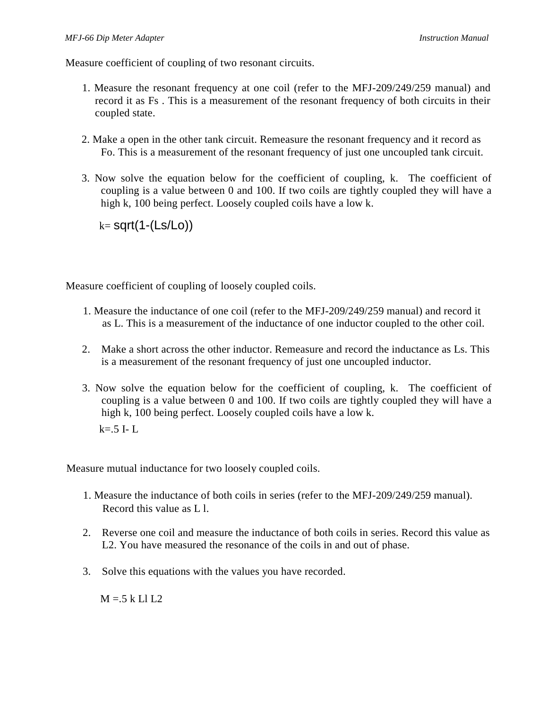Measure coefficient of coupling of two resonant circuits.

- 1. Measure the resonant frequency at one coil (refer to the MFJ-209/249/259 manual) and record it as Fs . This is a measurement of the resonant frequency of both circuits in their coupled state.
- 2. Make a open in the other tank circuit. Remeasure the resonant frequency and it record as Fo. This is a measurement of the resonant frequency of just one uncoupled tank circuit.
- 3. Now solve the equation below for the coefficient of coupling, k. The coefficient of coupling is a value between 0 and 100. If two coils are tightly coupled they will have a high k, 100 being perfect. Loosely coupled coils have a low k.

 $k=$  sqrt $(1-(Ls/Lo))$ 

Measure coefficient of coupling of loosely coupled coils.

- 1. Measure the inductance of one coil (refer to the MFJ-209/249/259 manual) and record it as L. This is a measurement of the inductance of one inductor coupled to the other coil.
- 2. Make a short across the other inductor. Remeasure and record the inductance as Ls. This is a measurement of the resonant frequency of just one uncoupled inductor.
- 3. Now solve the equation below for the coefficient of coupling, k. The coefficient of coupling is a value between 0 and 100. If two coils are tightly coupled they will have a high k, 100 being perfect. Loosely coupled coils have a low k.  $k=0.5$  I-L

Measure mutual inductance for two loosely coupled coils.

- 1. Measure the inductance of both coils in series (refer to the MFJ-209/249/259 manual). Record this value as L l.
- 2. Reverse one coil and measure the inductance of both coils in series. Record this value as L2. You have measured the resonance of the coils in and out of phase.
- 3. Solve this equations with the values you have recorded.

 $M = 5$  k Ll L2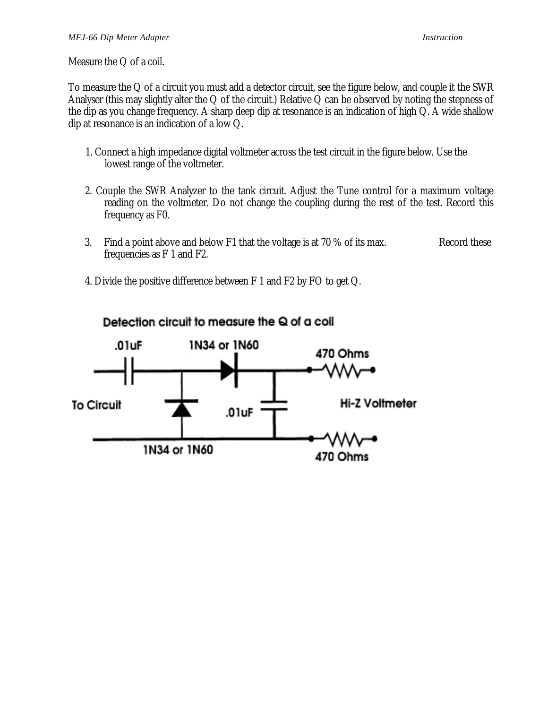Measure the Q of a coil.

To measure the Q of a circuit you must add a detector circuit, see the figure below, and couple it the SWR Analyser (this may slightly alter the Q of the circuit.) Relative Q can be observed by noting the stepness of the dip as you change frequency. A sharp deep dip at resonance is an indication of high Q. A wide shallow dip at resonance is an indication of a low Q.

- 1. Connect a high impedance digital voltmeter across the test circuit in the figure below. Use the lowest range of the voltmeter.
- 2. Couple the SWR Analyzer to the tank circuit. Adjust the Tune control for a maximum voltage reading on the voltmeter. Do not change the coupling during the rest of the test. Record this frequency as F0.
- 3. Find a point above and below F1 that the voltage is at 70 % of its max. Record these frequencies as F 1 and F2.
- 4. Divide the positive difference between F 1 and F2 by FO to get Q.



#### Detection circuit to measure the Q of a coil